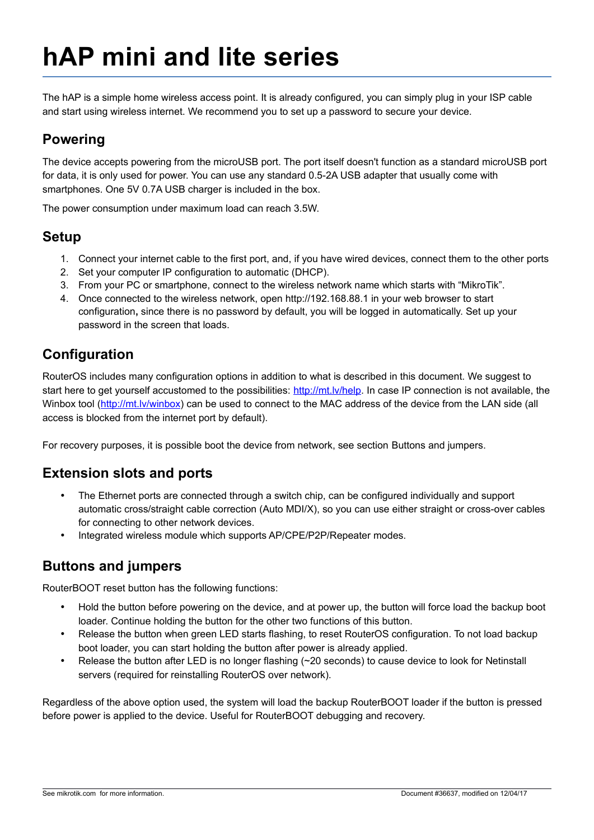# **hAP mini and lite series**

The hAP is a simple home wireless access point. It is already configured, you can simply plug in your ISP cable and start using wireless internet. We recommend you to set up a password to secure your device.

## **Powering**

The device accepts powering from the microUSB port. The port itself doesn't function as a standard microUSB port for data, it is only used for power. You can use any standard 0.5-2A USB adapter that usually come with smartphones. One 5V 0.7A USB charger is included in the box.

The power consumption under maximum load can reach 3.5W.

#### **Setup**

- 1. Connect your internet cable to the first port, and, if you have wired devices, connect them to the other ports
- 2. Set your computer IP configuration to automatic (DHCP).
- 3. From your PC or smartphone, connect to the wireless network name which starts with "MikroTik".
- 4. Once connected to the wireless network, open http://192.168.88.1 in your web browser to start configuration**,** since there is no password by default, you will be logged in automatically. Set up your password in the screen that loads.

# **Configuration**

RouterOS includes many configuration options in addition to what is described in this document. We suggest to start here to get yourself accustomed to the possibilities: [http://mt.lv/help.](http://mt.lv/help) In case IP connection is not available, the Winbox tool [\(http://mt.lv/winbox\)](http://mt.lv/winbox) can be used to connect to the MAC address of the device from the LAN side (all access is blocked from the internet port by default).

For recovery purposes, it is possible boot the device from network, see section [Buttons and jumpers.](#page-0-0)

## **Extension slots and ports**

- The Ethernet ports are connected through a switch chip, can be configured individually and support automatic cross/straight cable correction (Auto MDI/X), so you can use either straight or cross-over cables for connecting to other network devices.
- Integrated wireless module which supports AP/CPE/P2P/Repeater modes.

## <span id="page-0-0"></span>**Buttons and jumpers**

RouterBOOT reset button has the following functions:

- Hold the button before powering on the device, and at power up, the button will force load the backup boot loader. Continue holding the button for the other two functions of this button.
- Release the button when green LED starts flashing, to reset RouterOS configuration. To not load backup boot loader, you can start holding the button after power is already applied.
- Release the button after LED is no longer flashing (~20 seconds) to cause device to look for Netinstall servers (required for reinstalling RouterOS over network).

Regardless of the above option used, the system will load the backup RouterBOOT loader if the button is pressed before power is applied to the device. Useful for RouterBOOT debugging and recovery.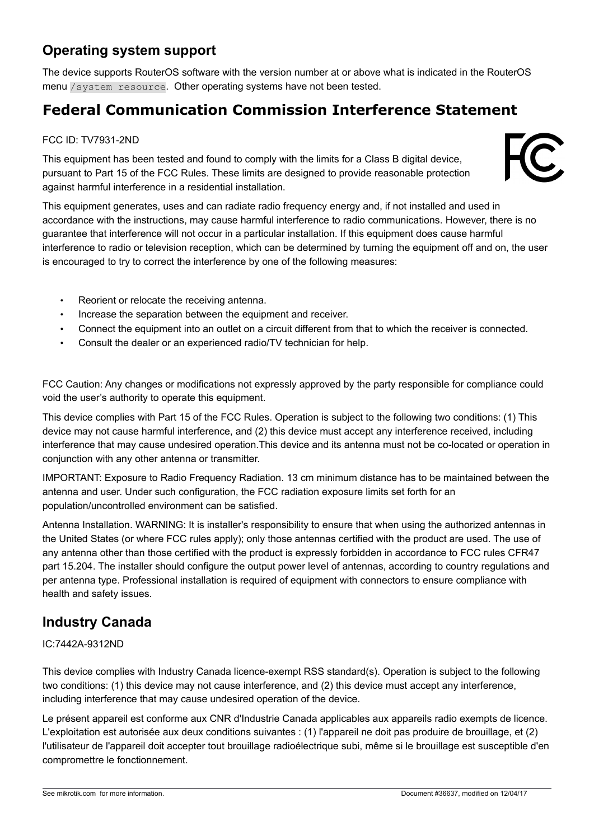# **Operating system support**

The device supports RouterOS software with the version number at or above what is indicated in the RouterOS menu /system resource. Other operating systems have not been tested.

# **Federal Communication Commission Interference Statement**

#### FCC ID: TV7931-2ND

This equipment has been tested and found to comply with the limits for a Class B digital device, pursuant to Part 15 of the FCC Rules. These limits are designed to provide reasonable protection against harmful interference in a residential installation.



This equipment generates, uses and can radiate radio frequency energy and, if not installed and used in accordance with the instructions, may cause harmful interference to radio communications. However, there is no guarantee that interference will not occur in a particular installation. If this equipment does cause harmful interference to radio or television reception, which can be determined by turning the equipment off and on, the user is encouraged to try to correct the interference by one of the following measures:

- Reorient or relocate the receiving antenna.
- Increase the separation between the equipment and receiver.
- Connect the equipment into an outlet on a circuit different from that to which the receiver is connected.
- Consult the dealer or an experienced radio/TV technician for help.

FCC Caution: Any changes or modifications not expressly approved by the party responsible for compliance could void the user's authority to operate this equipment.

This device complies with Part 15 of the FCC Rules. Operation is subject to the following two conditions: (1) This device may not cause harmful interference, and (2) this device must accept any interference received, including interference that may cause undesired operation.This device and its antenna must not be co-located or operation in conjunction with any other antenna or transmitter.

IMPORTANT: Exposure to Radio Frequency Radiation. 13 cm minimum distance has to be maintained between the antenna and user. Under such configuration, the FCC radiation exposure limits set forth for an population/uncontrolled environment can be satisfied.

Antenna Installation. WARNING: It is installer's responsibility to ensure that when using the authorized antennas in the United States (or where FCC rules apply); only those antennas certified with the product are used. The use of any antenna other than those certified with the product is expressly forbidden in accordance to FCC rules CFR47 part 15.204. The installer should configure the output power level of antennas, according to country regulations and per antenna type. Professional installation is required of equipment with connectors to ensure compliance with health and safety issues.

## **Industry Canada**

#### IC:7442A-9312ND

This device complies with Industry Canada licence-exempt RSS standard(s). Operation is subject to the following two conditions: (1) this device may not cause interference, and (2) this device must accept any interference, including interference that may cause undesired operation of the device.

Le présent appareil est conforme aux CNR d'Industrie Canada applicables aux appareils radio exempts de licence. L'exploitation est autorisée aux deux conditions suivantes : (1) l'appareil ne doit pas produire de brouillage, et (2) l'utilisateur de l'appareil doit accepter tout brouillage radioélectrique subi, même si le brouillage est susceptible d'en compromettre le fonctionnement.